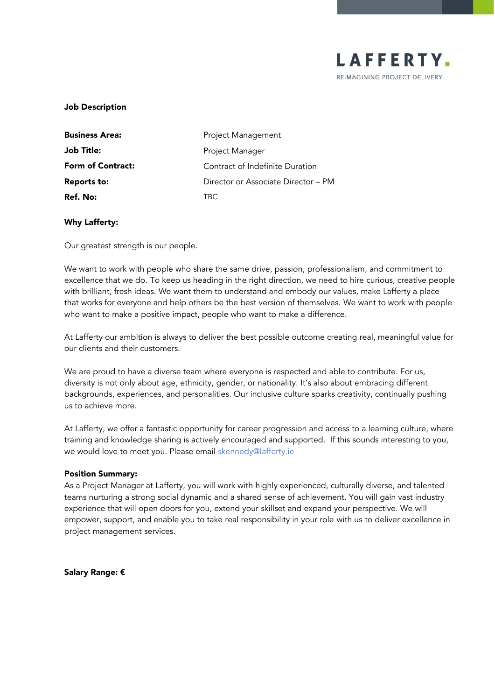

### Job Description

| <b>Business Area:</b>    | Project Management                  |
|--------------------------|-------------------------------------|
| <b>Job Title:</b>        | Project Manager                     |
| <b>Form of Contract:</b> | Contract of Indefinite Duration     |
| <b>Reports to:</b>       | Director or Associate Director – PM |
| Ref. No:                 | TRC.                                |

### Why Lafferty:

Our greatest strength is our people.

We want to work with people who share the same drive, passion, professionalism, and commitment to excellence that we do. To keep us heading in the right direction, we need to hire curious, creative people with brilliant, fresh ideas. We want them to understand and embody our values, make Lafferty a place that works for everyone and help others be the best version of themselves. We want to work with people who want to make a positive impact, people who want to make a difference.

At Lafferty our ambition is always to deliver the best possible outcome creating real, meaningful value for our clients and their customers.

We are proud to have a diverse team where everyone is respected and able to contribute. For us, diversity is not only about age, ethnicity, gender, or nationality. It's also about embracing different backgrounds, experiences, and personalities. Our inclusive culture sparks creativity, continually pushing us to achieve more.

At Lafferty, we offer a fantastic opportunity for career progression and access to a learning culture, where training and knowledge sharing is actively encouraged and supported. If this sounds interesting to you, we would love to meet you. Please email [skennedy@lafferty.ie](mailto:skennedy@lafferty.ie)

#### Position Summary:

As a Project Manager at Lafferty, you will work with highly experienced, culturally diverse, and talented teams nurturing a strong social dynamic and a shared sense of achievement. You will gain vast industry experience that will open doors for you, extend your skillset and expand your perspective. We will empower, support, and enable you to take real responsibility in your role with us to deliver excellence in project management services.

Salary Range: €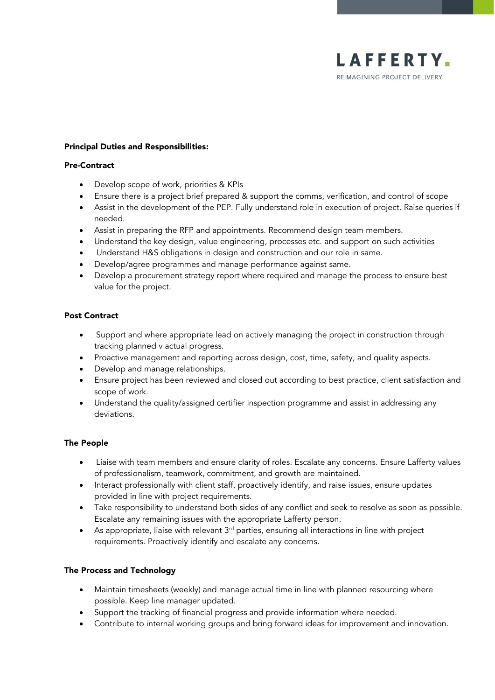

### Principal Duties and Responsibilities:

#### Pre-Contract

- Develop scope of work, priorities & KPIs
- Ensure there is a project brief prepared & support the comms, verification, and control of scope
- Assist in the development of the PEP. Fully understand role in execution of project. Raise queries if needed.
- Assist in preparing the RFP and appointments. Recommend design team members.
- Understand the key design, value engineering, processes etc. and support on such activities
- Understand H&S obligations in design and construction and our role in same.
- Develop/agree programmes and manage performance against same.
- Develop a procurement strategy report where required and manage the process to ensure best value for the project.

## Post Contract

- Support and where appropriate lead on actively managing the project in construction through tracking planned v actual progress.
- Proactive management and reporting across design, cost, time, safety, and quality aspects.
- Develop and manage relationships.
- Ensure project has been reviewed and closed out according to best practice, client satisfaction and scope of work.
- Understand the quality/assigned certifier inspection programme and assist in addressing any deviations.

## The People

- Liaise with team members and ensure clarity of roles. Escalate any concerns. Ensure Lafferty values of professionalism, teamwork, commitment, and growth are maintained.
- Interact professionally with client staff, proactively identify, and raise issues, ensure updates provided in line with project requirements.
- Take responsibility to understand both sides of any conflict and seek to resolve as soon as possible. Escalate any remaining issues with the appropriate Lafferty person.
- As appropriate, liaise with relevant  $3<sup>rd</sup>$  parties, ensuring all interactions in line with project requirements. Proactively identify and escalate any concerns.

# The Process and Technology

- Maintain timesheets (weekly) and manage actual time in line with planned resourcing where possible. Keep line manager updated.
- Support the tracking of financial progress and provide information where needed.
- Contribute to internal working groups and bring forward ideas for improvement and innovation.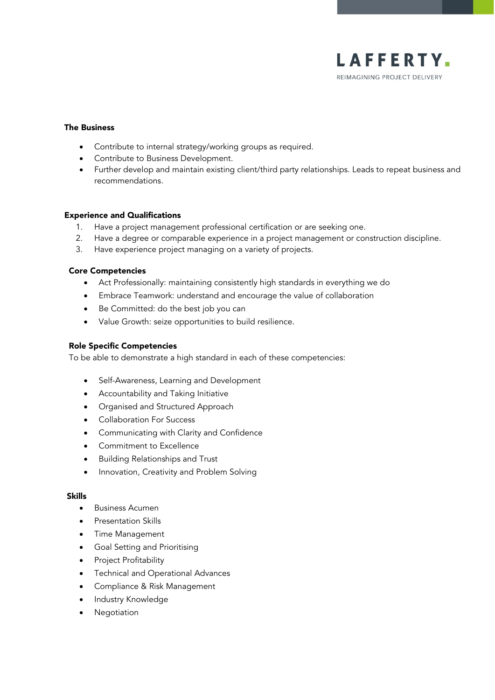

## The Business

- Contribute to internal strategy/working groups as required.
- Contribute to Business Development.
- Further develop and maintain existing client/third party relationships. Leads to repeat business and recommendations.

### Experience and Qualifications

- 1. Have a project management professional certification or are seeking one.
- 2. Have a degree or comparable experience in a project management or construction discipline.
- 3. Have experience project managing on a variety of projects.

### Core Competencies

- Act Professionally: maintaining consistently high standards in everything we do
- Embrace Teamwork: understand and encourage the value of collaboration
- Be Committed: do the best job you can
- Value Growth: seize opportunities to build resilience.

### Role Specific Competencies

To be able to demonstrate a high standard in each of these competencies:

- Self-Awareness, Learning and Development
- Accountability and Taking Initiative
- Organised and Structured Approach
- Collaboration For Success
- Communicating with Clarity and Confidence
- Commitment to Excellence
- Building Relationships and Trust
- Innovation, Creativity and Problem Solving

## Skills

- Business Acumen
- Presentation Skills
- Time Management
- Goal Setting and Prioritising
- Project Profitability
- Technical and Operational Advances
- Compliance & Risk Management
- Industry Knowledge
- **Negotiation**